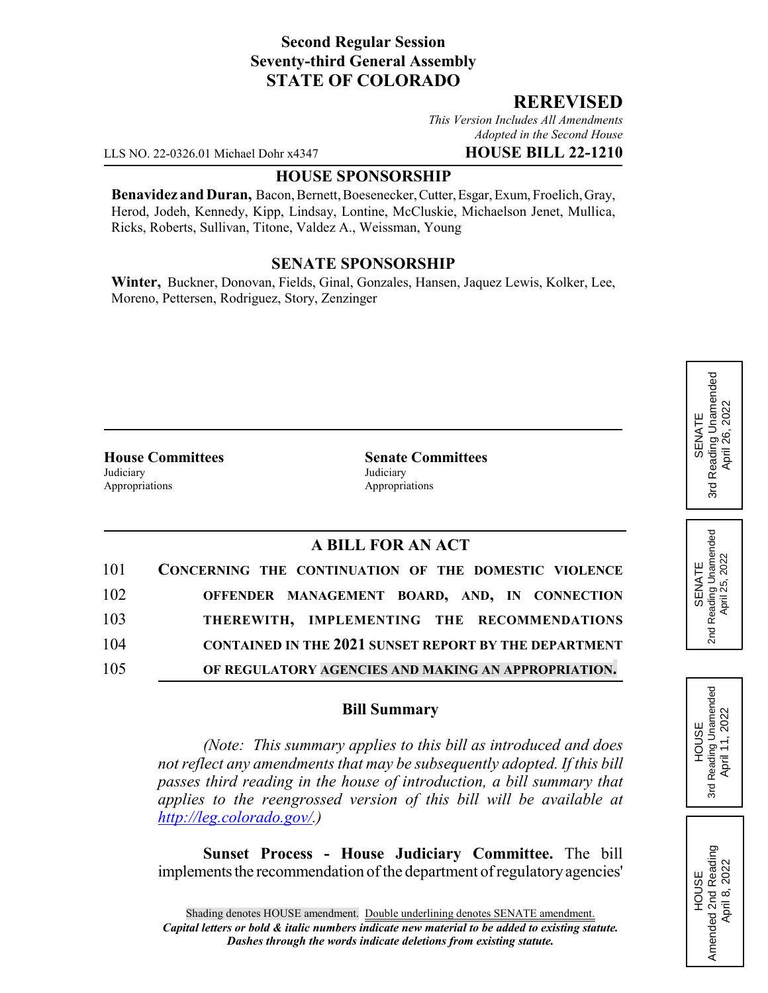## **Second Regular Session Seventy-third General Assembly STATE OF COLORADO**

## **REREVISED**

*This Version Includes All Amendments Adopted in the Second House*

LLS NO. 22-0326.01 Michael Dohr x4347 **HOUSE BILL 22-1210**

#### **HOUSE SPONSORSHIP**

**Benavidez and Duran,** Bacon, Bernett, Boesenecker, Cutter, Esgar, Exum, Froelich, Gray, Herod, Jodeh, Kennedy, Kipp, Lindsay, Lontine, McCluskie, Michaelson Jenet, Mullica, Ricks, Roberts, Sullivan, Titone, Valdez A., Weissman, Young

## **SENATE SPONSORSHIP**

**Winter,** Buckner, Donovan, Fields, Ginal, Gonzales, Hansen, Jaquez Lewis, Kolker, Lee, Moreno, Pettersen, Rodriguez, Story, Zenzinger

Judiciary Judiciary Appropriations **Appropriations** 

**House Committees Senate Committees**

# **A BILL FOR AN ACT**

| 101 | CONCERNING THE CONTINUATION OF THE DOMESTIC VIOLENCE         |
|-----|--------------------------------------------------------------|
| 102 | OFFENDER MANAGEMENT BOARD, AND, IN CONNECTION                |
| 103 | THEREWITH, IMPLEMENTING THE RECOMMENDATIONS                  |
| 104 | <b>CONTAINED IN THE 2021 SUNSET REPORT BY THE DEPARTMENT</b> |
| 105 | OF REGULATORY AGENCIES AND MAKING AN APPROPRIATION.          |

#### **Bill Summary**

*(Note: This summary applies to this bill as introduced and does not reflect any amendments that may be subsequently adopted. If this bill passes third reading in the house of introduction, a bill summary that applies to the reengrossed version of this bill will be available at http://leg.colorado.gov/.)*

**Sunset Process - House Judiciary Committee.** The bill implements the recommendation of the department of regulatory agencies'

Reading Unamended 3rd Reading Unamended April 26, 2022 April 26, 2022 SENATE 3rd

Reading Unamended<br>April 25, 2022 2nd Reading Unamended April 25, 2022 SENATE 2<sub>nd</sub>



HOUSE<br>Amended 2nd Reading<br>April 8, 2022 Amended 2nd Reading April 8, 2022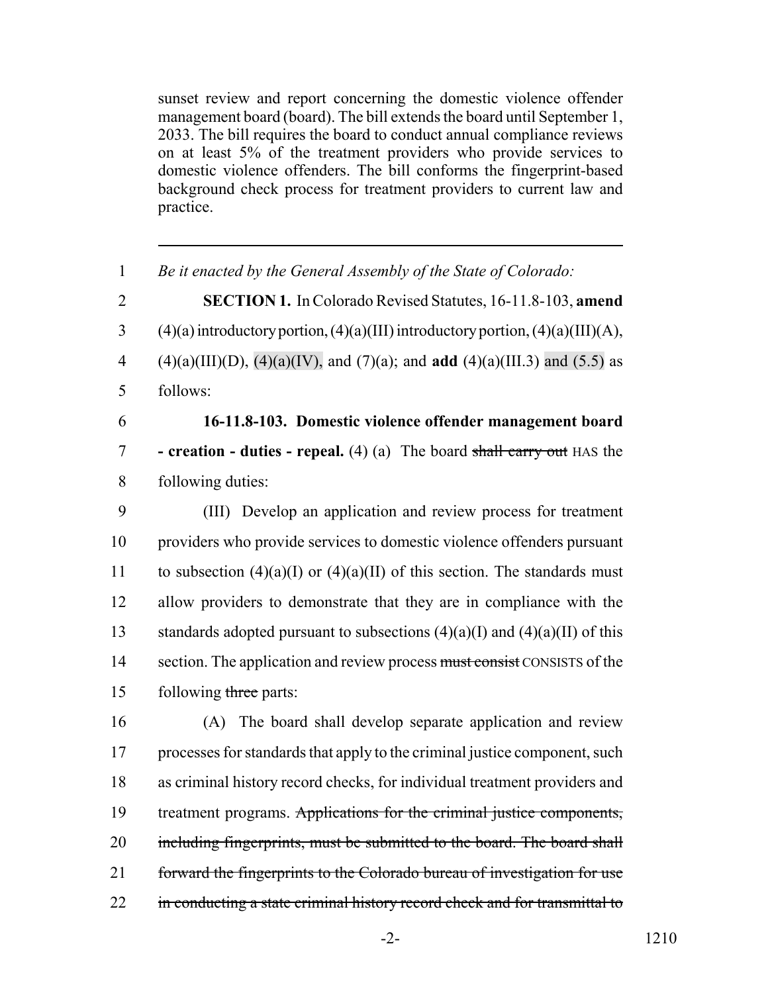sunset review and report concerning the domestic violence offender management board (board). The bill extends the board until September 1, 2033. The bill requires the board to conduct annual compliance reviews on at least 5% of the treatment providers who provide services to domestic violence offenders. The bill conforms the fingerprint-based background check process for treatment providers to current law and practice.

| $\mathbf{1}$   | Be it enacted by the General Assembly of the State of Colorado:                                |
|----------------|------------------------------------------------------------------------------------------------|
| $\overline{2}$ | SECTION 1. In Colorado Revised Statutes, 16-11.8-103, amend                                    |
| 3              | $(4)(a)$ introductory portion, $(4)(a)$ (III) introductory portion, $(4)(a)$ (III) $(A)$ ,     |
| $\overline{4}$ | $(4)(a)(III)(D)$ , $(4)(a)(IV)$ , and $(7)(a)$ ; and <b>add</b> $(4)(a)(III.3)$ and $(5.5)$ as |
| 5              | follows:                                                                                       |
| 6              | 16-11.8-103. Domestic violence offender management board                                       |
| $\overline{7}$ | - creation - duties - repeal. (4) (a) The board shall carry out HAS the                        |
| 8              | following duties:                                                                              |
| 9              | (III) Develop an application and review process for treatment                                  |
| 10             | providers who provide services to domestic violence offenders pursuant                         |
| 11             | to subsection $(4)(a)(I)$ or $(4)(a)(II)$ of this section. The standards must                  |
| 12             | allow providers to demonstrate that they are in compliance with the                            |
| 13             | standards adopted pursuant to subsections $(4)(a)(I)$ and $(4)(a)(II)$ of this                 |
| 14             | section. The application and review process must consist CONSISTS of the                       |
| 15             | following three parts:                                                                         |
| 16             | (A) The board shall develop separate application and review                                    |
| 17             | processes for standards that apply to the criminal justice component, such                     |
| 18             | as criminal history record checks, for individual treatment providers and                      |
| 19             | treatment programs. Applications for the criminal justice components,                          |
| 20             | including fingerprints, must be submitted to the board. The board shall                        |
| 21             | forward the fingerprints to the Colorado bureau of investigation for use                       |
| 22             | in conducting a state criminal history record check and for transmittal to                     |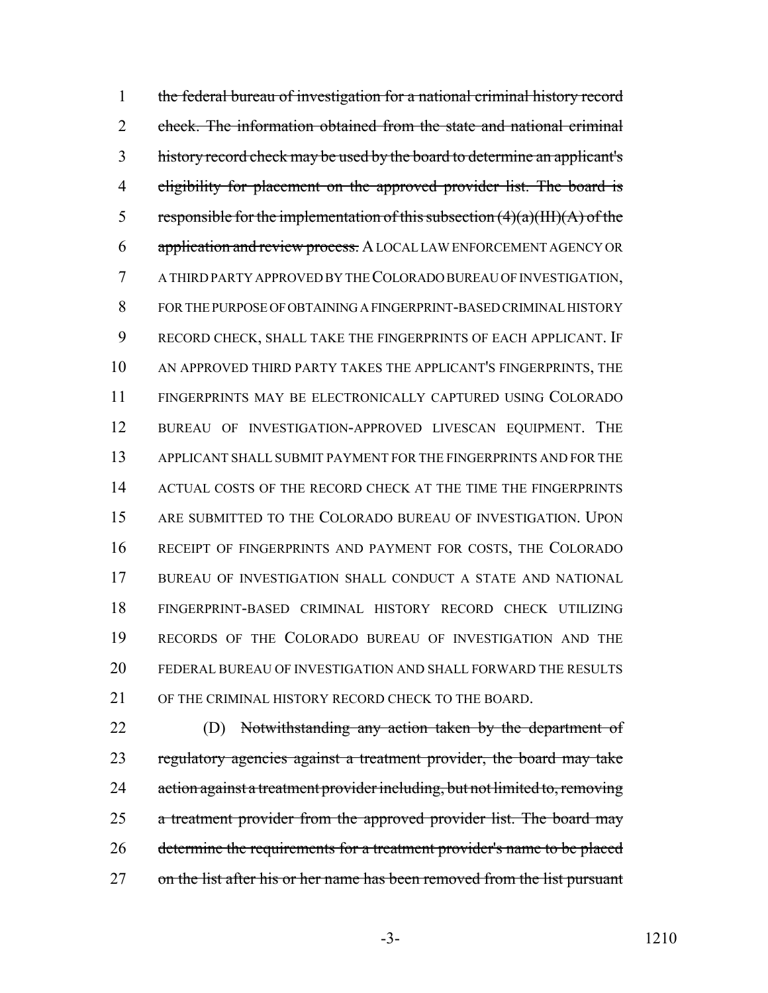the federal bureau of investigation for a national criminal history record check. The information obtained from the state and national criminal history record check may be used by the board to determine an applicant's 4 eligibility for placement on the approved provider list. The board is 5 responsible for the implementation of this subsection  $(4)(a)(III)(A)$  of the 6 application and review process. A LOCAL LAW ENFORCEMENT AGENCY OR A THIRD PARTY APPROVED BY THE COLORADO BUREAU OF INVESTIGATION, FOR THE PURPOSE OF OBTAINING A FINGERPRINT-BASED CRIMINAL HISTORY RECORD CHECK, SHALL TAKE THE FINGERPRINTS OF EACH APPLICANT. IF AN APPROVED THIRD PARTY TAKES THE APPLICANT'S FINGERPRINTS, THE FINGERPRINTS MAY BE ELECTRONICALLY CAPTURED USING COLORADO BUREAU OF INVESTIGATION-APPROVED LIVESCAN EQUIPMENT. THE APPLICANT SHALL SUBMIT PAYMENT FOR THE FINGERPRINTS AND FOR THE 14 ACTUAL COSTS OF THE RECORD CHECK AT THE TIME THE FINGERPRINTS ARE SUBMITTED TO THE COLORADO BUREAU OF INVESTIGATION. UPON RECEIPT OF FINGERPRINTS AND PAYMENT FOR COSTS, THE COLORADO BUREAU OF INVESTIGATION SHALL CONDUCT A STATE AND NATIONAL FINGERPRINT-BASED CRIMINAL HISTORY RECORD CHECK UTILIZING RECORDS OF THE COLORADO BUREAU OF INVESTIGATION AND THE FEDERAL BUREAU OF INVESTIGATION AND SHALL FORWARD THE RESULTS OF THE CRIMINAL HISTORY RECORD CHECK TO THE BOARD.

22 (D) Notwithstanding any action taken by the department of 23 regulatory agencies against a treatment provider, the board may take 24 action against a treatment provider including, but not limited to, removing 25 a treatment provider from the approved provider list. The board may 26 determine the requirements for a treatment provider's name to be placed 27 on the list after his or her name has been removed from the list pursuant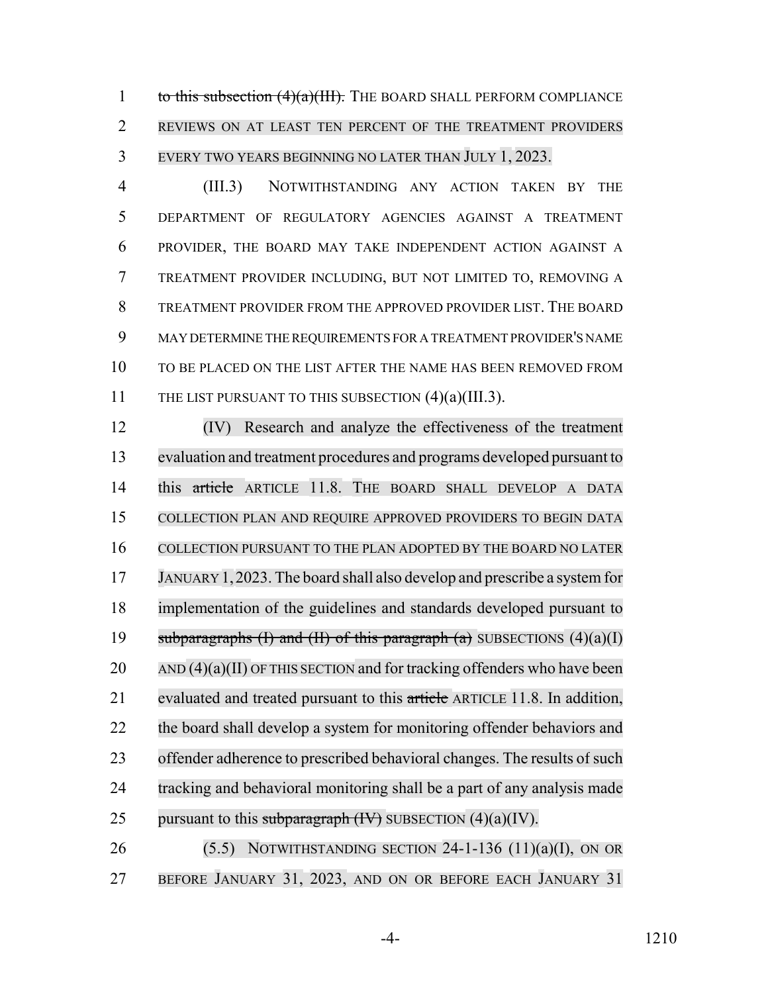1 to this subsection  $(4)(a)(HH)$ . The BOARD SHALL PERFORM COMPLIANCE REVIEWS ON AT LEAST TEN PERCENT OF THE TREATMENT PROVIDERS EVERY TWO YEARS BEGINNING NO LATER THAN JULY 1, 2023.

 (III.3) NOTWITHSTANDING ANY ACTION TAKEN BY THE DEPARTMENT OF REGULATORY AGENCIES AGAINST A TREATMENT PROVIDER, THE BOARD MAY TAKE INDEPENDENT ACTION AGAINST A TREATMENT PROVIDER INCLUDING, BUT NOT LIMITED TO, REMOVING A TREATMENT PROVIDER FROM THE APPROVED PROVIDER LIST. THE BOARD MAY DETERMINE THE REQUIREMENTS FOR A TREATMENT PROVIDER'S NAME TO BE PLACED ON THE LIST AFTER THE NAME HAS BEEN REMOVED FROM 11 THE LIST PURSUANT TO THIS SUBSECTION (4)(a)(III.3).

 (IV) Research and analyze the effectiveness of the treatment evaluation and treatment procedures and programs developed pursuant to 14 this article ARTICLE 11.8. THE BOARD SHALL DEVELOP A DATA COLLECTION PLAN AND REQUIRE APPROVED PROVIDERS TO BEGIN DATA COLLECTION PURSUANT TO THE PLAN ADOPTED BY THE BOARD NO LATER JANUARY 1,2023. The board shall also develop and prescribe a system for implementation of the guidelines and standards developed pursuant to 19 subparagraphs (I) and (II) of this paragraph (a) SUBSECTIONS  $(4)(a)(I)$  AND (4)(a)(II) OF THIS SECTION and for tracking offenders who have been 21 evaluated and treated pursuant to this article ARTICLE 11.8. In addition, the board shall develop a system for monitoring offender behaviors and 23 offender adherence to prescribed behavioral changes. The results of such tracking and behavioral monitoring shall be a part of any analysis made 25 pursuant to this subparagraph  $(H)$  SUBSECTION  $(4)(a)(IV)$ .

26 (5.5) NOTWITHSTANDING SECTION -1-136 (11)(a)(I), ON OR 27 BEFORE JANUARY 31, 2023, AND ON OR BEFORE EACH JANUARY 31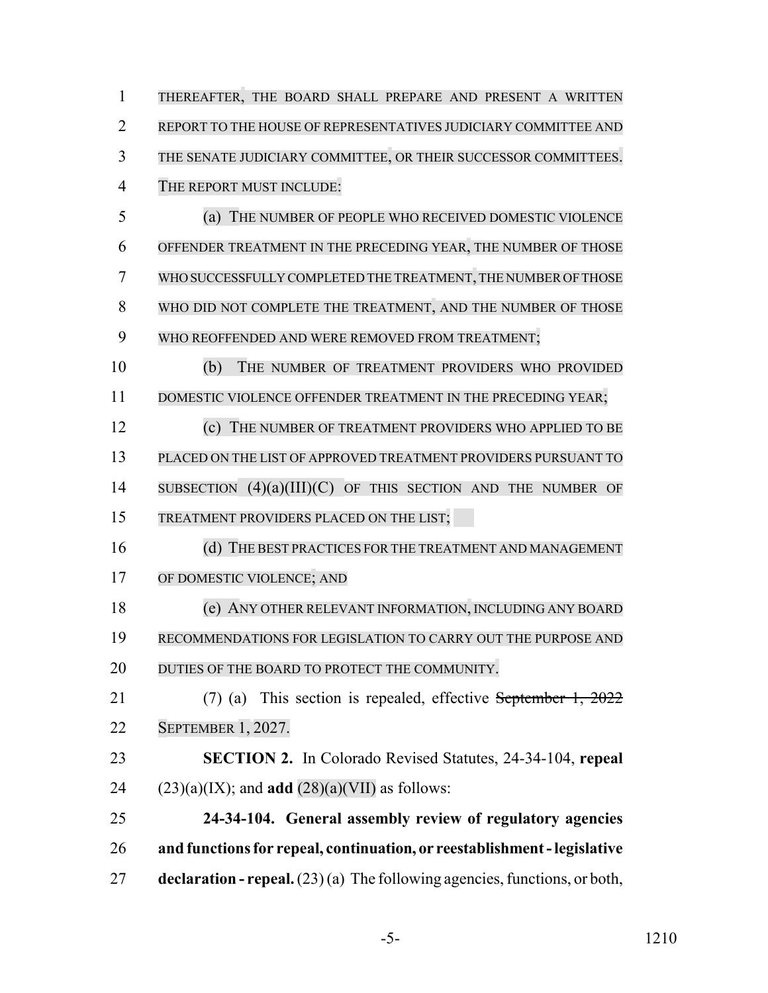| 1              | THEREAFTER, THE BOARD SHALL PREPARE AND PRESENT A WRITTEN                          |
|----------------|------------------------------------------------------------------------------------|
| $\overline{2}$ | REPORT TO THE HOUSE OF REPRESENTATIVES JUDICIARY COMMITTEE AND                     |
| 3              | THE SENATE JUDICIARY COMMITTEE, OR THEIR SUCCESSOR COMMITTEES.                     |
| $\overline{4}$ | THE REPORT MUST INCLUDE:                                                           |
| 5              | (a) THE NUMBER OF PEOPLE WHO RECEIVED DOMESTIC VIOLENCE                            |
| 6              | OFFENDER TREATMENT IN THE PRECEDING YEAR, THE NUMBER OF THOSE                      |
| 7              | WHO SUCCESSFULLY COMPLETED THE TREATMENT, THE NUMBER OF THOSE                      |
| 8              | WHO DID NOT COMPLETE THE TREATMENT, AND THE NUMBER OF THOSE                        |
| 9              | WHO REOFFENDED AND WERE REMOVED FROM TREATMENT;                                    |
| 10             | (b)<br>THE NUMBER OF TREATMENT PROVIDERS WHO PROVIDED                              |
| 11             | DOMESTIC VIOLENCE OFFENDER TREATMENT IN THE PRECEDING YEAR;                        |
| 12             | THE NUMBER OF TREATMENT PROVIDERS WHO APPLIED TO BE<br>(c)                         |
| 13             | PLACED ON THE LIST OF APPROVED TREATMENT PROVIDERS PURSUANT TO                     |
| 14             | SUBSECTION $(4)(a)(III)(C)$ OF THIS SECTION AND THE NUMBER OF                      |
| 15             | TREATMENT PROVIDERS PLACED ON THE LIST;                                            |
| 16             | (d) THE BEST PRACTICES FOR THE TREATMENT AND MANAGEMENT                            |
| 17             | OF DOMESTIC VIOLENCE; AND                                                          |
| 18             | (e) ANY OTHER RELEVANT INFORMATION, INCLUDING ANY BOARD                            |
| 19             | RECOMMENDATIONS FOR LEGISLATION TO CARRY OUT THE PURPOSE AND                       |
| 20             | DUTIES OF THE BOARD TO PROTECT THE COMMUNITY.                                      |
| 21             | This section is repealed, effective September 1, $2022$<br>$(7)$ (a)               |
| 22             | SEPTEMBER 1, 2027.                                                                 |
| 23             | <b>SECTION 2.</b> In Colorado Revised Statutes, 24-34-104, repeal                  |
| 24             | $(23)(a)(IX)$ ; and <b>add</b> $(28)(a)(VII)$ as follows:                          |
| 25             | 24-34-104. General assembly review of regulatory agencies                          |
| 26             | and functions for repeal, continuation, or reestablishment - legislative           |
| 27             | <b>declaration - repeal.</b> $(23)(a)$ The following agencies, functions, or both, |